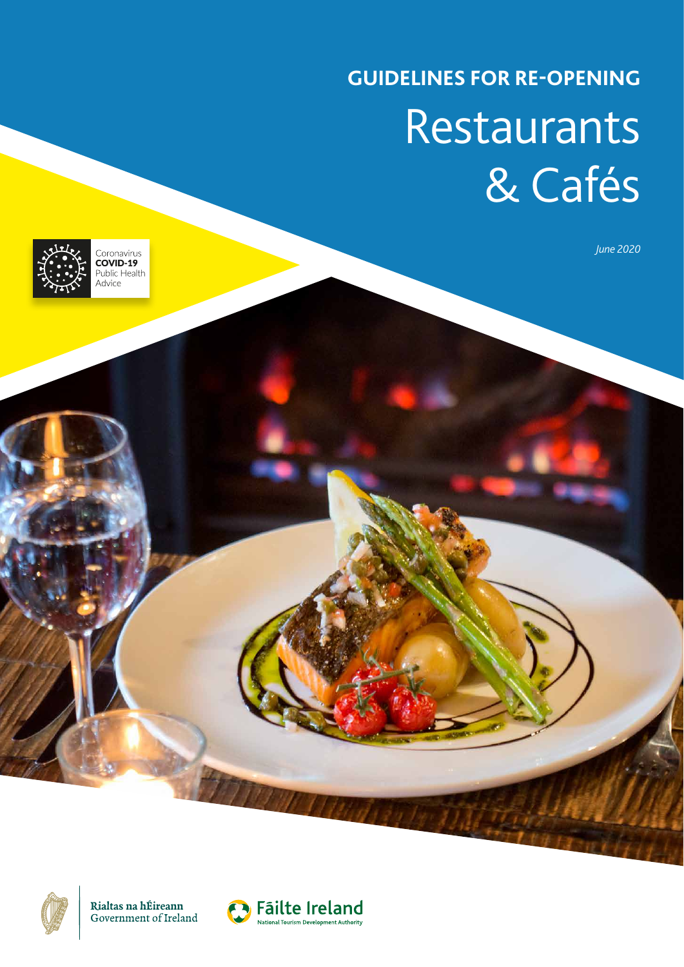# **GUIDELINES FOR RE-OPENING** Restaurants & Cafés

*June 2020*



Coronavirus<br> **COVID-19**<br>
Public Health Advice



Rialtas na hÉireann Government of Ireland

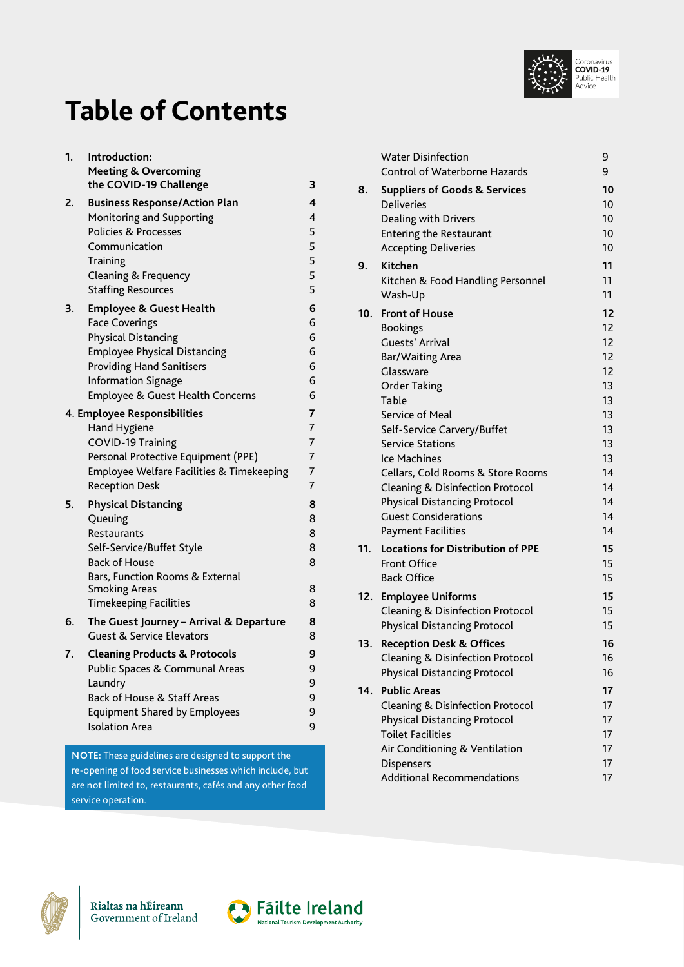

## <span id="page-1-0"></span>**Table of Contents**

| 1. | Introduction:<br><b>Meeting &amp; Overcoming</b>                                                               |                |
|----|----------------------------------------------------------------------------------------------------------------|----------------|
|    | the COVID-19 Challenge                                                                                         | 3              |
| 2. | <b>Business Response/Action Plan</b>                                                                           | 4              |
|    | Monitoring and Supporting                                                                                      | 4              |
|    | <b>Policies &amp; Processes</b><br>Communication                                                               | 5<br>5         |
|    | Training                                                                                                       | 5              |
|    | Cleaning & Frequency                                                                                           | 5              |
|    | <b>Staffing Resources</b>                                                                                      | 5              |
| 3. | <b>Employee &amp; Guest Health</b>                                                                             | 6              |
|    | <b>Face Coverings</b>                                                                                          | 6              |
|    | <b>Physical Distancing</b>                                                                                     | 6              |
|    | <b>Employee Physical Distancing</b>                                                                            | 6              |
|    | <b>Providing Hand Sanitisers</b>                                                                               | 6              |
|    | <b>Information Signage</b>                                                                                     | 6              |
|    | Employee & Guest Health Concerns                                                                               | 6              |
|    | 4. Employee Responsibilities                                                                                   | $\overline{7}$ |
|    | <b>Hand Hygiene</b>                                                                                            | $\overline{7}$ |
|    | <b>COVID-19 Training</b>                                                                                       | $\overline{7}$ |
|    | Personal Protective Equipment (PPE)                                                                            | 7              |
|    | Employee Welfare Facilities & Timekeeping                                                                      | $\overline{7}$ |
|    | <b>Reception Desk</b>                                                                                          | 7              |
| 5. | <b>Physical Distancing</b>                                                                                     | 8              |
|    | Queuing                                                                                                        | 8              |
|    | Restaurants                                                                                                    | 8              |
|    | Self-Service/Buffet Style                                                                                      | 8              |
|    | <b>Back of House</b>                                                                                           | 8              |
|    | Bars, Function Rooms & External                                                                                |                |
|    | <b>Smoking Areas</b><br><b>Timekeeping Facilities</b>                                                          | 8<br>8         |
|    |                                                                                                                |                |
| 6. | The Guest Journey - Arrival & Departure<br><b>Guest &amp; Service Elevators</b>                                | 8<br>8         |
| 7. | <b>Cleaning Products &amp; Protocols</b>                                                                       | 9              |
|    | Public Spaces & Communal Areas                                                                                 | 9              |
|    | Laundry                                                                                                        | 9              |
|    | Back of House & Staff Areas                                                                                    | 9              |
|    | <b>Equipment Shared by Employees</b>                                                                           | 9              |
|    | <b>Isolation Area</b>                                                                                          | 9              |
|    |                                                                                                                |                |
|    | NOTE: These guidelines are designed to support the<br>re-opening of food service businesses which include, but |                |
|    |                                                                                                                |                |

are not limited to, restaurants, cafés and any other food

[Water Disinfection](#page-9-0) 80 and 90 and 90 and 90 and 90 and 90 and 90 and 90 and 90 and 90 and 90 and 90 and 90 and 9 [Control of Waterborne Hazards](#page-9-0) 9 **8. [Suppliers of Goods & Services](#page-10-0) 10** [Deliveries 10](#page-10-0) [Dealing with Drivers](#page-10-0) 10 [Entering the Restaurant 10](#page-10-0) [Accepting Deliveries](#page-10-0) 10 **9. [Kitchen](#page-11-0) 11** [Kitchen & Food Handling Personnel](#page-11-0) 11 [Wash-Up](#page-11-0) 11 **10. Front of House** 12 [Bookings 12](#page-12-0) [Guests' Arrival](#page-12-0) **12** [Bar/Waiting Area](#page-12-0) 12 [Glassware](#page-12-0) 12 [Order Taking](#page-13-0) 13 [Table 13](#page-13-0) [Service of Meal](#page-13-0) 13 [Self-Service Carvery/Buffet 13](#page-13-0) [Service Stations](#page-13-0) 13 [Ice Machines](#page-13-0) 13 [Cellars, Cold Rooms & Store Rooms](#page-14-0) 14 [Cleaning & Disinfection Protocol](#page-14-0) 14 [Physical Distancing Protocol](#page-14-0) 14 [Guest Considerations](#page-14-0) 14 [Payment Facilities](#page-14-0) 14 **11. [Locations for Distribution of PPE](#page-15-0) 15** [Front Office](#page-15-0) 15 [Back Office](#page-15-0) 25 and 25 and 25 and 25 and 25 and 25 and 25 and 25 and 25 and 25 and 25 and 25 and 25 and 25 and 25 and 25 and 25 and 25 and 25 and 25 and 25 and 25 and 25 and 25 and 25 and 25 and 25 and 25 and 25 and 25 and **12. [Employee Uniforms 15](#page-15-0)** [Cleaning & Disinfection Protocol](#page-15-0) 15 [Physical Distancing Protocol](#page-15-0) 15 **13. [Reception Desk & Offices](#page-16-0) 16** [Cleaning & Disinfection Protocol](#page-16-0) 16 [Physical Distancing Protocol](#page-16-0) 16 **14. [Public Areas](#page-17-0) 17** [Cleaning & Disinfection Protocol](#page-17-0) 17 [Physical Distancing Protocol](#page-17-0) 17 [Toilet Facilities](#page-17-0) 17 [Air Conditioning & Ventilation](#page-17-0) 17 [Dispensers](#page-17-0) 17 [Additional Recommendations](#page-17-0) 17



service operation.

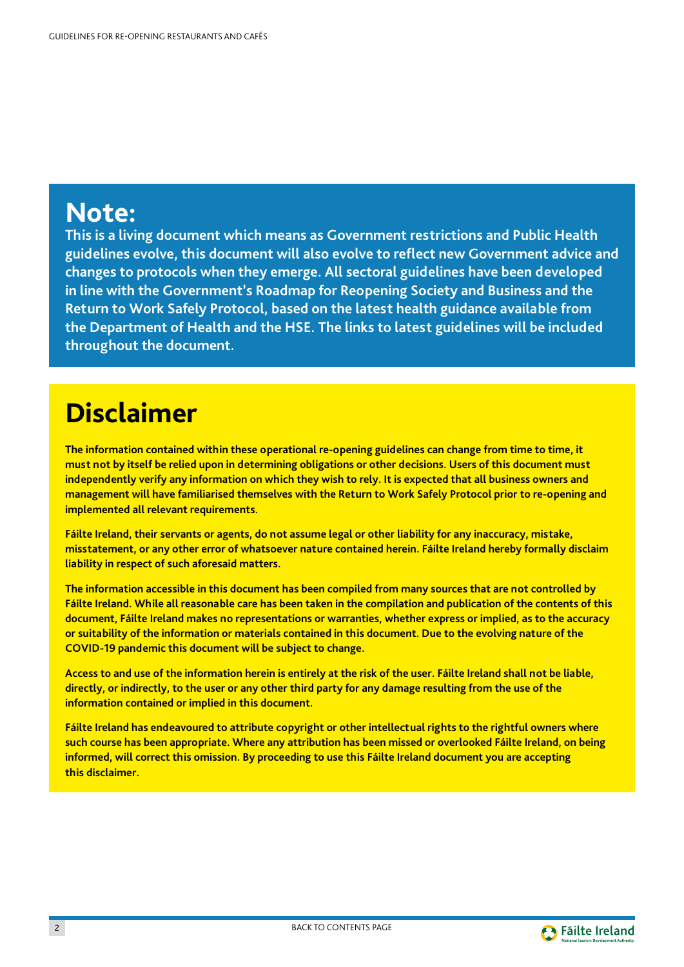## **Note:**

**This is a living document which means as Government restrictions and Public Health guidelines evolve, this document will also evolve to reflect new Government advice and changes to protocols when they emerge. All sectoral guidelines have been developed in line with the Government's Roadmap for Reopening Society and Business and the Return to Work Safely Protocol, based on the latest health guidance available from the Department of Health and the HSE. The links to latest guidelines will be included throughout the document.**

## **Disclaimer**

**The information contained within these operational re-opening guidelines can change from time to time, it must not by itself be relied upon in determining obligations or other decisions. Users of this document must independently verify any information on which they wish to rely. It is expected that all business owners and management will have familiarised themselves with the Return to Work Safely Protocol prior to re-opening and implemented all relevant requirements.**

**Fáilte Ireland, their servants or agents, do not assume legal or other liability for any inaccuracy, mistake, misstatement, or any other error of whatsoever nature contained herein. Fáilte Ireland hereby formally disclaim liability in respect of such aforesaid matters.**

**The information accessible in this document has been compiled from many sources that are not controlled by Fáilte Ireland. While all reasonable care has been taken in the compilation and publication of the contents of this document, Fáilte Ireland makes no representations or warranties, whether express or implied, as to the accuracy or suitability of the information or materials contained in this document. Due to the evolving nature of the COVID-19 pandemic this document will be subject to change.**

**Access to and use of the information herein is entirely at the risk of the user. Fáilte Ireland shall not be liable, directly, or indirectly, to the user or any other third party for any damage resulting from the use of the information contained or implied in this document.**

**Fáilte Ireland has endeavoured to attribute copyright or other intellectual rights to the rightful owners where such course has been appropriate. Where any attribution has been missed or overlooked Fáilte Ireland, on being informed, will correct this omission. By proceeding to use this Fáilte Ireland document you are accepting this disclaimer.**

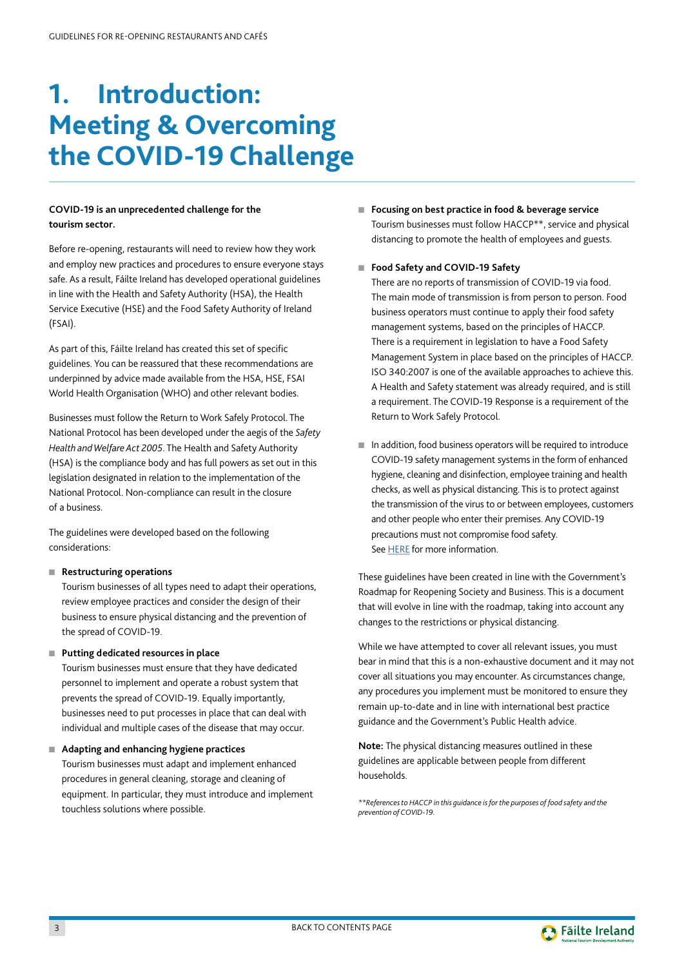## <span id="page-3-0"></span>**1. Introduction: Meeting & Overcoming the COVID-19 Challenge**

#### **COVID-19 is an unprecedented challenge for the tourism sector.**

Before re-opening, restaurants will need to review how they work and employ new practices and procedures to ensure everyone stays safe. As a result, Fáilte Ireland has developed operational guidelines in line with the Health and Safety Authority (HSA), the Health Service Executive (HSE) and the Food Safety Authority of Ireland (FSAI).

As part of this, Fáilte Ireland has created this set of specific guidelines. You can be reassured that these recommendations are underpinned by advice made available from the HSA, HSE, FSAI World Health Organisation (WHO) and other relevant bodies.

Businesses must follow the Return to Work Safely Protocol. The National Protocol has been developed under the aegis of the *Safety Health and Welfare Act 2005*. The Health and Safety Authority (HSA) is the compliance body and has full powers as set out in this legislation designated in relation to the implementation of the National Protocol. Non-compliance can result in the closure of a business.

The guidelines were developed based on the following considerations:

#### ■ **Restructuring operations**

Tourism businesses of all types need to adapt their operations, review employee practices and consider the design of their business to ensure physical distancing and the prevention of the spread of COVID-19.

#### ■ **Putting dedicated resources in place**

Tourism businesses must ensure that they have dedicated personnel to implement and operate a robust system that prevents the spread of COVID-19. Equally importantly, businesses need to put processes in place that can deal with individual and multiple cases of the disease that may occur.

■ **Adapting and enhancing hygiene practices** 

Tourism businesses must adapt and implement enhanced procedures in general cleaning, storage and cleaning of equipment. In particular, they must introduce and implement touchless solutions where possible.

■ **Focusing on best practice in food & beverage service**  Tourism businesses must follow HACCP\*\*, service and physical distancing to promote the health of employees and guests.

#### ■ **Food Safety and COVID-19 Safety**

There are no reports of transmission of COVID-19 via food. The main mode of transmission is from person to person. Food business operators must continue to apply their food safety management systems, based on the principles of HACCP. There is a requirement in legislation to have a Food Safety Management System in place based on the principles of HACCP. ISO 340:2007 is one of the available approaches to achieve this. A Health and Safety statement was already required, and is still a requirement. The COVID-19 Response is a requirement of the Return to Work Safely Protocol.

■ In addition, food business operators will be required to introduce COVID-19 safety management systems in the form of enhanced hygiene, cleaning and disinfection, employee training and health checks, as well as physical distancing. This is to protect against the transmission of the virus to or between employees, customers and other people who enter their premises. Any COVID-19 precautions must not compromise food safety. See [HERE](http://www.fsai.ie/faq/coronavirus.html) for more information.

These guidelines have been created in line with the Government's Roadmap for Reopening Society and Business. This is a document that will evolve in line with the roadmap, taking into account any changes to the restrictions or physical distancing.

While we have attempted to cover all relevant issues, you must bear in mind that this is a non-exhaustive document and it may not cover all situations you may encounter. As circumstances change, any procedures you implement must be monitored to ensure they remain up-to-date and in line with international best practice guidance and the Government's Public Health advice.

**Note:** The physical distancing measures outlined in these guidelines are applicable between people from different households.

*\*\*References to HACCP in this guidance is for the purposes of food safety and the prevention of COVID-19.*

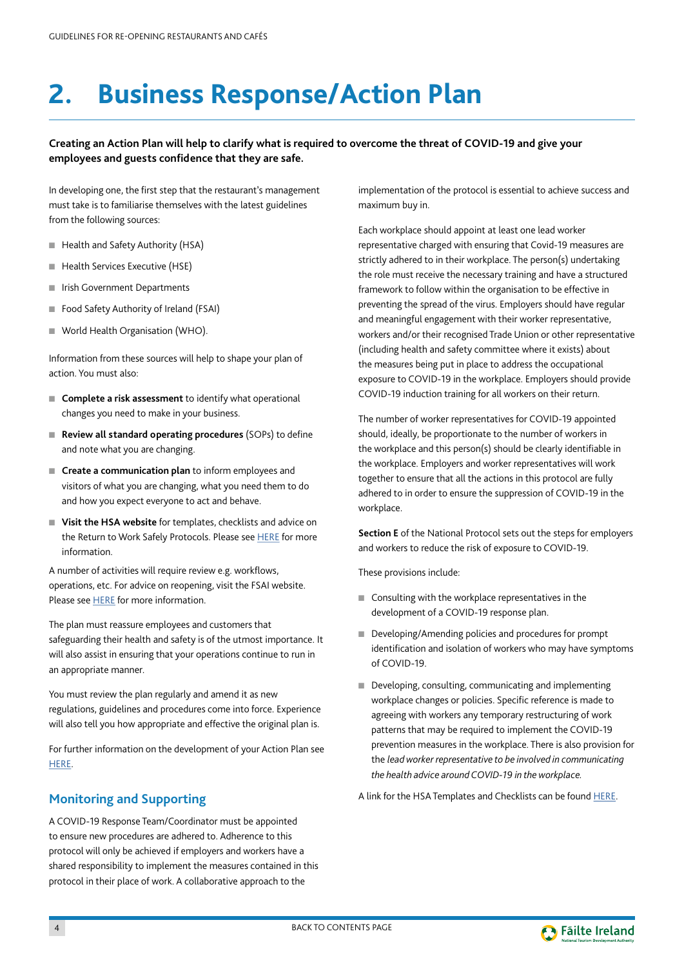## <span id="page-4-0"></span>**2. Business Response/Action Plan**

#### **Creating an Action Plan will help to clarify what is required to overcome the threat of COVID-19 and give your employees and guests confidence that they are safe.**

In developing one, the first step that the restaurant's management must take is to familiarise themselves with the latest guidelines from the following sources:

- Health and Safety Authority (HSA)
- Health Services Executive (HSE)
- Irish Government Departments
- Food Safety Authority of Ireland (FSAI)
- World Health Organisation (WHO).

Information from these sources will help to shape your plan of action. You must also:

- **Complete a risk assessment** to identify what operational changes you need to make in your business.
- **Review all standard operating procedures** (SOPs) to define and note what you are changing.
- **Create a communication plan** to inform employees and visitors of what you are changing, what you need them to do and how you expect everyone to act and behave.
- **Visit the HSA website** for templates, checklists and advice on the Return to Work Safely Protocols. Please see [HERE](https://www.hsa.ie/eng/topics/covid-19/covid-19_advice_for_employers_and_employees/) for more information.

A number of activities will require review e.g. workflows, operations, etc. For advice on reopening, visit the FSAI website. Please see [HERE](http://www.fsai.ie) for more information.

The plan must reassure employees and customers that safeguarding their health and safety is of the utmost importance. It will also assist in ensuring that your operations continue to run in an appropriate manner.

You must review the plan regularly and amend it as new regulations, guidelines and procedures come into force. Experience will also tell you how appropriate and effective the original plan is.

For further information on the development of your Action Plan see [HERE.](https://covid19.failteireland.ie/)

## **Monitoring and Supporting**

A COVID-19 Response Team/Coordinator must be appointed to ensure new procedures are adhered to. Adherence to this protocol will only be achieved if employers and workers have a shared responsibility to implement the measures contained in this protocol in their place of work. A collaborative approach to the

implementation of the protocol is essential to achieve success and maximum buy in.

Each workplace should appoint at least one lead worker representative charged with ensuring that Covid-19 measures are strictly adhered to in their workplace. The person(s) undertaking the role must receive the necessary training and have a structured framework to follow within the organisation to be effective in preventing the spread of the virus. Employers should have regular and meaningful engagement with their worker representative, workers and/or their recognised Trade Union or other representative (including health and safety committee where it exists) about the measures being put in place to address the occupational exposure to COVID-19 in the workplace. Employers should provide COVID-19 induction training for all workers on their return.

The number of worker representatives for COVID-19 appointed should, ideally, be proportionate to the number of workers in the workplace and this person(s) should be clearly identifiable in the workplace. Employers and worker representatives will work together to ensure that all the actions in this protocol are fully adhered to in order to ensure the suppression of COVID-19 in the workplace.

**Section E** of the National Protocol sets out the steps for employers and workers to reduce the risk of exposure to COVID-19.

These provisions include:

- Consulting with the workplace representatives in the development of a COVID-19 response plan.
- Developing/Amending policies and procedures for prompt identification and isolation of workers who may have symptoms of COVID-19.
- Developing, consulting, communicating and implementing workplace changes or policies. Specific reference is made to agreeing with workers any temporary restructuring of work patterns that may be required to implement the COVID-19 prevention measures in the workplace. There is also provision for the *lead worker representative to be involved in communicating the health advice around COVID-19 in the workplace.*

A link for the HSA Templates and Checklists can be found [HERE](https://www.hsa.ie/eng/topics/covid-19/return_to_work_safely_templates_and_checklists/).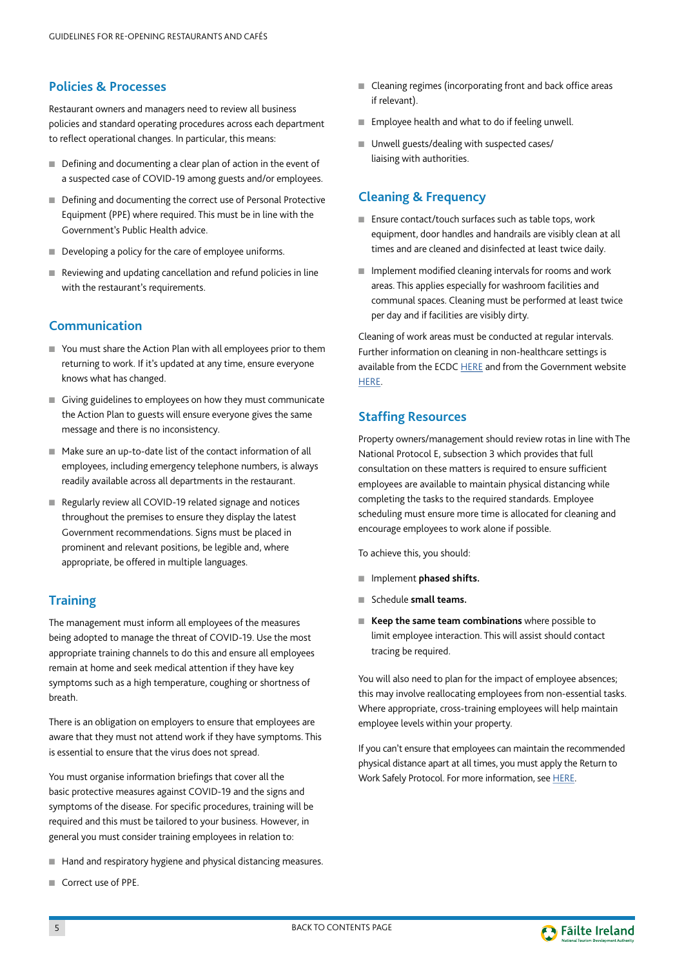## <span id="page-5-0"></span>**Policies & Processes**

Restaurant owners and managers need to review all business policies and standard operating procedures across each department to reflect operational changes. In particular, this means:

- Defining and documenting a clear plan of action in the event of a suspected case of COVID-19 among guests and/or employees.
- Defining and documenting the correct use of Personal Protective Equipment (PPE) where required. This must be in line with the Government's Public Health advice.
- Developing a policy for the care of employee uniforms.
- Reviewing and updating cancellation and refund policies in line with the restaurant's requirements.

## **Communication**

- You must share the Action Plan with all employees prior to them returning to work. If it's updated at any time, ensure everyone knows what has changed.
- Giving guidelines to employees on how they must communicate the Action Plan to guests will ensure everyone gives the same message and there is no inconsistency.
- Make sure an up-to-date list of the contact information of all employees, including emergency telephone numbers, is always readily available across all departments in the restaurant.
- Regularly review all COVID-19 related signage and notices throughout the premises to ensure they display the latest Government recommendations. Signs must be placed in prominent and relevant positions, be legible and, where appropriate, be offered in multiple languages.

## **Training**

The management must inform all employees of the measures being adopted to manage the threat of COVID-19. Use the most appropriate training channels to do this and ensure all employees remain at home and seek medical attention if they have key symptoms such as a high temperature, coughing or shortness of breath.

There is an obligation on employers to ensure that employees are aware that they must not attend work if they have symptoms. This is essential to ensure that the virus does not spread.

You must organise information briefings that cover all the basic protective measures against COVID-19 and the signs and symptoms of the disease. For specific procedures, training will be required and this must be tailored to your business. However, in general you must consider training employees in relation to:

- Hand and respiratory hygiene and physical distancing measures.
- Correct use of PPE.
- Cleaning regimes (incorporating front and back office areas if relevant).
- Employee health and what to do if feeling unwell.
- Unwell guests/dealing with suspected cases/ liaising with authorities.

## **Cleaning & Frequency**

- Ensure contact/touch surfaces such as table tops, work equipment, door handles and handrails are visibly clean at all times and are cleaned and disinfected at least twice daily.
- Implement modified cleaning intervals for rooms and work areas. This applies especially for washroom facilities and communal spaces. Cleaning must be performed at least twice per day and if facilities are visibly dirty.

Cleaning of work areas must be conducted at regular intervals. Further information on cleaning in non-healthcare settings is available from the ECDC [HERE](https://www.ecdc.europa.eu/sites/default/files/documents/Environmental-persistence-of-SARS_CoV_2-virus-Options-for-cleaning2020-03-26_0.pdf) and from the Government website [HERE](https://www.gov.ie/en/publication/22829a-return-to-work-safely-protocol/).

## **Staffing Resources**

Property owners/management should review rotas in line with The National Protocol E, subsection 3 which provides that full consultation on these matters is required to ensure sufficient employees are available to maintain physical distancing while completing the tasks to the required standards. Employee scheduling must ensure more time is allocated for cleaning and encourage employees to work alone if possible.

To achieve this, you should:

- Implement **phased shifts.**
- Schedule **small teams.**
- **Keep the same team combinations** where possible to limit employee interaction. This will assist should contact tracing be required.

You will also need to plan for the impact of employee absences; this may involve reallocating employees from non-essential tasks. Where appropriate, cross-training employees will help maintain employee levels within your property.

If you can't ensure that employees can maintain the recommended physical distance apart at all times, you must apply the Return to Work Safely Protocol. For more information, see [HERE](https://www.gov.ie/en/publication/22829a-return-to-work-safely-protocol/).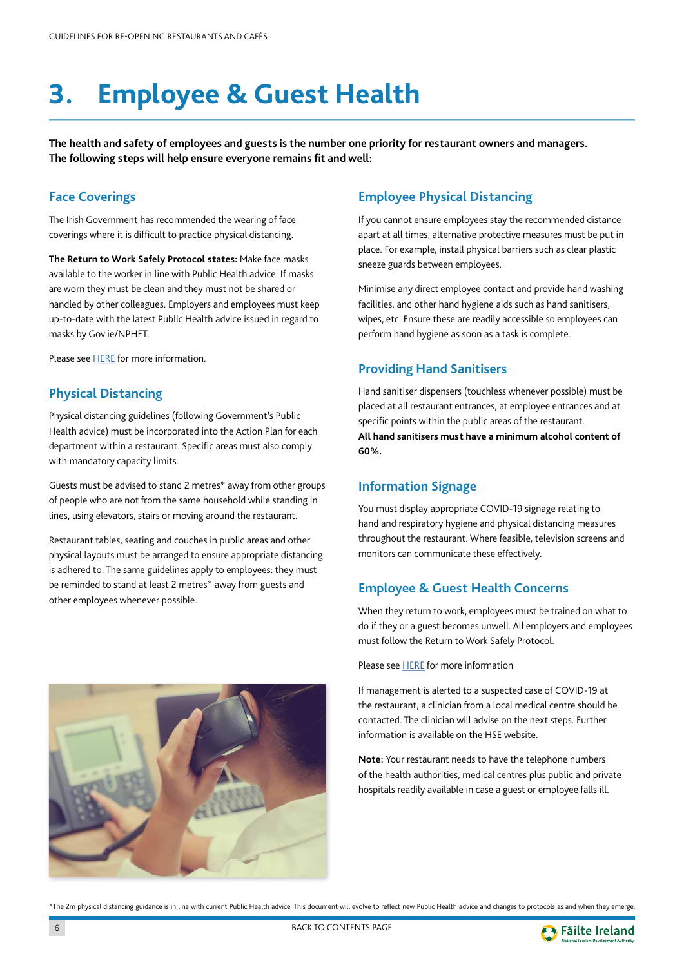## <span id="page-6-0"></span>**3. Employee & Guest Health**

**The health and safety of employees and guests is the number one priority for restaurant owners and managers. The following steps will help ensure everyone remains fit and well:**

#### **Face Coverings**

The Irish Government has recommended the wearing of face coverings where it is difficult to practice physical distancing.

**The Return to Work Safely Protocol states:** Make face masks available to the worker in line with Public Health advice. If masks are worn they must be clean and they must not be shared or handled by other colleagues. Employers and employees must keep up-to-date with the latest Public Health advice issued in regard to masks by Gov.ie/NPHET.

Please see [HERE](www.gov.ie/en/publication/aac74c-guidance-on-safe-use-of-face-coverings/) for more information.

### **Physical Distancing**

Physical distancing guidelines (following Government's Public Health advice) must be incorporated into the Action Plan for each department within a restaurant. Specific areas must also comply with mandatory capacity limits.

Guests must be advised to stand 2 metres\* away from other groups of people who are not from the same household while standing in lines, using elevators, stairs or moving around the restaurant.

Restaurant tables, seating and couches in public areas and other physical layouts must be arranged to ensure appropriate distancing is adhered to. The same guidelines apply to employees: they must be reminded to stand at least 2 metres\* away from guests and other employees whenever possible.

## **Employee Physical Distancing**

If you cannot ensure employees stay the recommended distance apart at all times, alternative protective measures must be put in place. For example, install physical barriers such as clear plastic sneeze guards between employees.

Minimise any direct employee contact and provide hand washing facilities, and other hand hygiene aids such as hand sanitisers, wipes, etc. Ensure these are readily accessible so employees can perform hand hygiene as soon as a task is complete.

## **Providing Hand Sanitisers**

Hand sanitiser dispensers (touchless whenever possible) must be placed at all restaurant entrances, at employee entrances and at specific points within the public areas of the restaurant. **All hand sanitisers must have a minimum alcohol content of 60%.**

### **Information Signage**

You must display appropriate COVID-19 signage relating to hand and respiratory hygiene and physical distancing measures throughout the restaurant. Where feasible, television screens and monitors can communicate these effectively.

## **Employee & Guest Health Concerns**

When they return to work, employees must be trained on what to do if they or a guest becomes unwell. All employers and employees must follow the Return to Work Safely Protocol.

Please see [HERE](https://www.gov.ie/en/publication/22829a-return-to-work-safely-protocol/) for more information

If management is alerted to a suspected case of COVID-19 at the restaurant, a clinician from a local medical centre should be contacted. The clinician will advise on the next steps. Further information is available on the HSE website.

**Note:** Your restaurant needs to have the telephone numbers of the health authorities, medical centres plus public and private hospitals readily available in case a guest or employee falls ill.



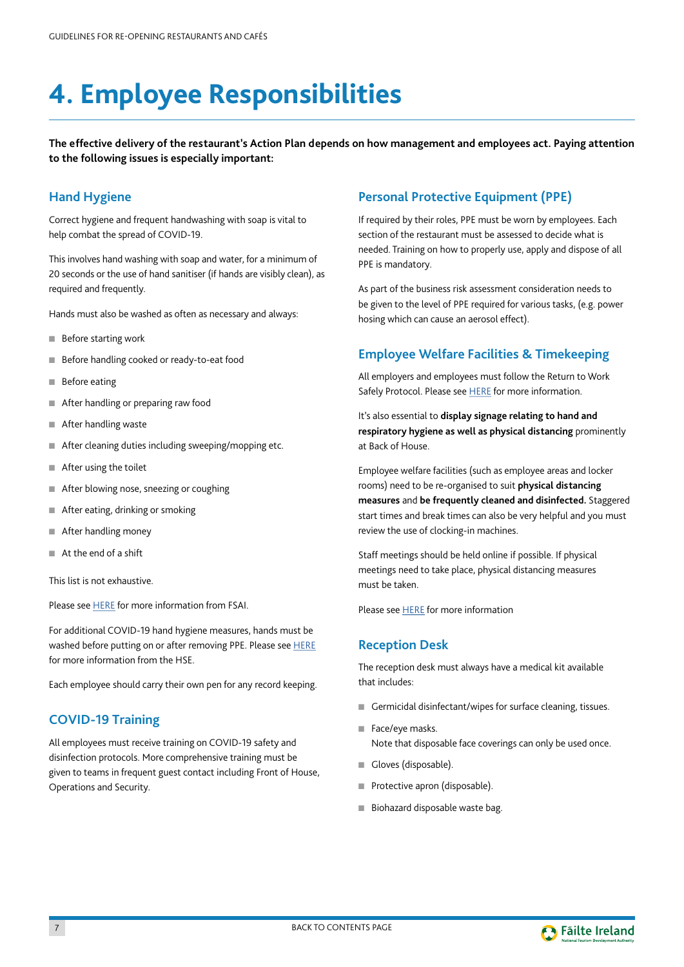## <span id="page-7-0"></span>**4. Employee Responsibilities**

**The effective delivery of the restaurant's Action Plan depends on how management and employees act. Paying attention to the following issues is especially important:** 

## **Hand Hygiene**

Correct hygiene and frequent handwashing with soap is vital to help combat the spread of COVID-19.

This involves hand washing with soap and water, for a minimum of 20 seconds or the use of hand sanitiser (if hands are visibly clean), as required and frequently.

Hands must also be washed as often as necessary and always:

- Before starting work
- Before handling cooked or ready-to-eat food
- Before eating
- After handling or preparing raw food
- After handling waste
- After cleaning duties including sweeping/mopping etc.
- After using the toilet
- After blowing nose, sneezing or coughing
- After eating, drinking or smoking
- After handling money
- At the end of a shift

This list is not exhaustive.

Please see [HERE](www.fsai.ie) for more information from FSAI.

For additional COVID-19 hand hygiene measures, hands must be washed before putting on or after removing PPE. Please see [HERE](https://www2.hse.ie/conditions/coronavirus/protect-yourself-and-others.html) for more information from the HSE.

Each employee should carry their own pen for any record keeping.

#### **COVID-19 Training**

All employees must receive training on COVID-19 safety and disinfection protocols. More comprehensive training must be given to teams in frequent guest contact including Front of House, Operations and Security.

### **Personal Protective Equipment (PPE)**

If required by their roles, PPE must be worn by employees. Each section of the restaurant must be assessed to decide what is needed. Training on how to properly use, apply and dispose of all PPE is mandatory.

As part of the business risk assessment consideration needs to be given to the level of PPE required for various tasks, (e.g. power hosing which can cause an aerosol effect).

#### **Employee Welfare Facilities & Timekeeping**

All employers and employees must follow the Return to Work Safely Protocol. Please see **HERE** for more information.

It's also essential to **display signage relating to hand and respiratory hygiene as well as physical distancing** prominently at Back of House.

Employee welfare facilities (such as employee areas and locker rooms) need to be re-organised to suit **physical distancing measures** and **be frequently cleaned and disinfected.** Staggered start times and break times can also be very helpful and you must review the use of clocking-in machines.

Staff meetings should be held online if possible. If physical meetings need to take place, physical distancing measures must be taken.

Please see [HERE](https://www2.hse.ie/coronavirus/) for more information

#### **Reception Desk**

The reception desk must always have a medical kit available that includes:

- Germicidal disinfectant/wipes for surface cleaning, tissues.
- Face/eye masks. Note that disposable face coverings can only be used once.
- Gloves (disposable).
- Protective apron (disposable).
- Biohazard disposable waste bag.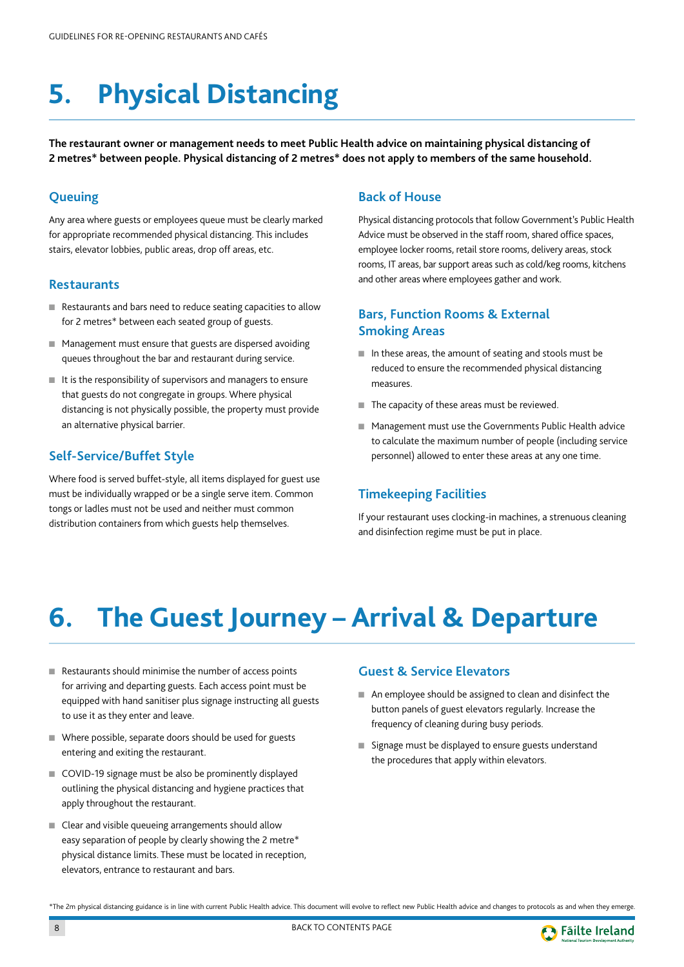## <span id="page-8-0"></span>**5. Physical Distancing**

**The restaurant owner or management needs to meet Public Health advice on maintaining physical distancing of 2 metres\* between people. Physical distancing of 2 metres\* does not apply to members of the same household.**

## **Queuing**

Any area where guests or employees queue must be clearly marked for appropriate recommended physical distancing. This includes stairs, elevator lobbies, public areas, drop off areas, etc.

#### **Restaurants**

- Restaurants and bars need to reduce seating capacities to allow for 2 metres\* between each seated group of guests.
- Management must ensure that guests are dispersed avoiding queues throughout the bar and restaurant during service.
- It is the responsibility of supervisors and managers to ensure that guests do not congregate in groups. Where physical distancing is not physically possible, the property must provide an alternative physical barrier.

## **Self-Service/Buffet Style**

Where food is served buffet-style, all items displayed for guest use must be individually wrapped or be a single serve item. Common tongs or ladles must not be used and neither must common distribution containers from which guests help themselves.

#### **Back of House**

Physical distancing protocols that follow Government's Public Health Advice must be observed in the staff room, shared office spaces, employee locker rooms, retail store rooms, delivery areas, stock rooms, IT areas, bar support areas such as cold/keg rooms, kitchens and other areas where employees gather and work.

## **Bars, Function Rooms & External Smoking Areas**

- In these areas, the amount of seating and stools must be reduced to ensure the recommended physical distancing measures.
- The capacity of these areas must be reviewed.
- Management must use the Governments Public Health advice to calculate the maximum number of people (including service personnel) allowed to enter these areas at any one time.

### **Timekeeping Facilities**

If your restaurant uses clocking-in machines, a strenuous cleaning and disinfection regime must be put in place.

## **6. The Guest Journey – Arrival & Departure**

- Restaurants should minimise the number of access points for arriving and departing guests. Each access point must be equipped with hand sanitiser plus signage instructing all guests to use it as they enter and leave.
- Where possible, separate doors should be used for guests entering and exiting the restaurant.
- COVID-19 signage must be also be prominently displayed outlining the physical distancing and hygiene practices that apply throughout the restaurant.
- Clear and visible queueing arrangements should allow easy separation of people by clearly showing the 2 metre\* physical distance limits. These must be located in reception, elevators, entrance to restaurant and bars.

### **Guest & Service Elevators**

- An employee should be assigned to clean and disinfect the button panels of guest elevators regularly. Increase the frequency of cleaning during busy periods.
- Signage must be displayed to ensure guests understand the procedures that apply within elevators.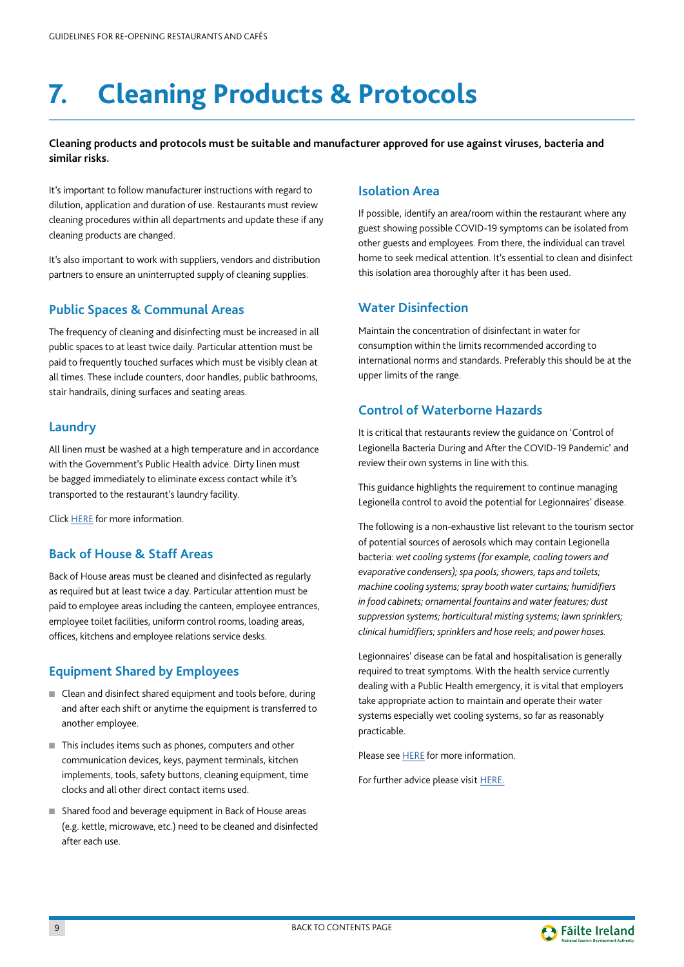## <span id="page-9-0"></span>**7. Cleaning Products & Protocols**

#### **Cleaning products and protocols must be suitable and manufacturer approved for use against viruses, bacteria and similar risks.**

It's important to follow manufacturer instructions with regard to dilution, application and duration of use. Restaurants must review cleaning procedures within all departments and update these if any cleaning products are changed.

It's also important to work with suppliers, vendors and distribution partners to ensure an uninterrupted supply of cleaning supplies.

## **Public Spaces & Communal Areas**

The frequency of cleaning and disinfecting must be increased in all public spaces to at least twice daily. Particular attention must be paid to frequently touched surfaces which must be visibly clean at all times. These include counters, door handles, public bathrooms, stair handrails, dining surfaces and seating areas.

## **Laundry**

All linen must be washed at a high temperature and in accordance with the Government's Public Health advice. Dirty linen must be bagged immediately to eliminate excess contact while it's transported to the restaurant's laundry facility.

Click [HERE](http://www.hse.ie/eng/about/who/healthwellbeing/infectcont/sth/gl/section-3-8-management-of-laundry-and-linen.pdf) for more information.

### **Back of House & Staff Areas**

Back of House areas must be cleaned and disinfected as regularly as required but at least twice a day. Particular attention must be paid to employee areas including the canteen, employee entrances, employee toilet facilities, uniform control rooms, loading areas, offices, kitchens and employee relations service desks.

## **Equipment Shared by Employees**

- Clean and disinfect shared equipment and tools before, during and after each shift or anytime the equipment is transferred to another employee.
- This includes items such as phones, computers and other communication devices, keys, payment terminals, kitchen implements, tools, safety buttons, cleaning equipment, time clocks and all other direct contact items used.
- Shared food and beverage equipment in Back of House areas (e.g. kettle, microwave, etc.) need to be cleaned and disinfected after each use.

#### **Isolation Area**

If possible, identify an area/room within the restaurant where any guest showing possible COVID-19 symptoms can be isolated from other guests and employees. From there, the individual can travel home to seek medical attention. It's essential to clean and disinfect this isolation area thoroughly after it has been used.

## **Water Disinfection**

Maintain the concentration of disinfectant in water for consumption within the limits recommended according to international norms and standards. Preferably this should be at the upper limits of the range.

## **Control of Waterborne Hazards**

It is critical that restaurants review the guidance on 'Control of Legionella Bacteria During and After the COVID-19 Pandemic' and review their own systems in line with this.

This guidance highlights the requirement to continue managing Legionella control to avoid the potential for Legionnaires' disease.

The following is a non-exhaustive list relevant to the tourism sector of potential sources of aerosols which may contain Legionella bacteria: *wet cooling systems (for example, cooling towers and evaporative condensers); spa pools; showers, taps and toilets; machine cooling systems; spray booth water curtains; humidifiers in food cabinets; ornamental fountains and water features; dust suppression systems; horticultural misting systems; lawn sprinklers; clinical humidifiers; sprinklers and hose reels; and power hoses.* 

Legionnaires' disease can be fatal and hospitalisation is generally required to treat symptoms. With the health service currently dealing with a Public Health emergency, it is vital that employers take appropriate action to maintain and operate their water systems especially wet cooling systems, so far as reasonably practicable.

Please see **HERE** for more information.

For further advice please visit [HERE.](https://www.hse.ie/eng/services/list/1/environ/advice-for-managing-water-systems-in-a-shutdown.html)

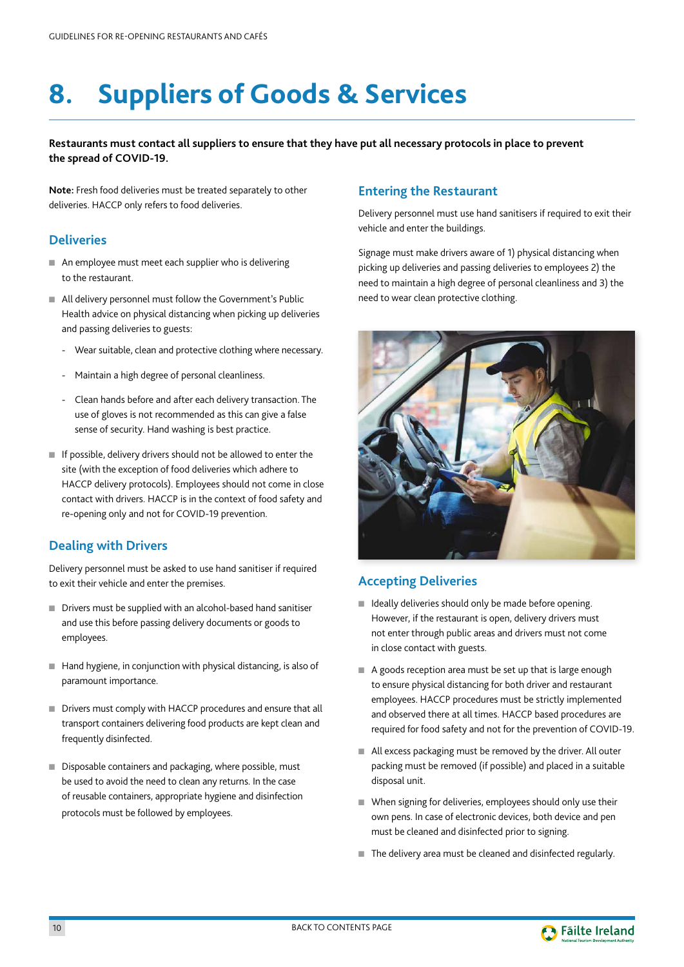## <span id="page-10-0"></span>**8. Suppliers of Goods & Services**

#### **Restaurants must contact all suppliers to ensure that they have put all necessary protocols in place to prevent the spread of COVID-19.**

**Note:** Fresh food deliveries must be treated separately to other deliveries. HACCP only refers to food deliveries.

#### **Deliveries**

- An employee must meet each supplier who is delivering to the restaurant.
- All delivery personnel must follow the Government's Public Health advice on physical distancing when picking up deliveries and passing deliveries to guests:
	- Wear suitable, clean and protective clothing where necessary.
	- Maintain a high degree of personal cleanliness.
	- Clean hands before and after each delivery transaction. The use of gloves is not recommended as this can give a false sense of security. Hand washing is best practice.
- If possible, delivery drivers should not be allowed to enter the site (with the exception of food deliveries which adhere to HACCP delivery protocols). Employees should not come in close contact with drivers. HACCP is in the context of food safety and re-opening only and not for COVID-19 prevention.

## **Dealing with Drivers**

Delivery personnel must be asked to use hand sanitiser if required to exit their vehicle and enter the premises.

- Drivers must be supplied with an alcohol-based hand sanitiser and use this before passing delivery documents or goods to employees.
- Hand hygiene, in conjunction with physical distancing, is also of paramount importance.
- Drivers must comply with HACCP procedures and ensure that all transport containers delivering food products are kept clean and frequently disinfected.
- Disposable containers and packaging, where possible, must be used to avoid the need to clean any returns. In the case of reusable containers, appropriate hygiene and disinfection protocols must be followed by employees.

### **Entering the Restaurant**

Delivery personnel must use hand sanitisers if required to exit their vehicle and enter the buildings.

Signage must make drivers aware of 1) physical distancing when picking up deliveries and passing deliveries to employees 2) the need to maintain a high degree of personal cleanliness and 3) the need to wear clean protective clothing.



## **Accepting Deliveries**

- Ideally deliveries should only be made before opening. However, if the restaurant is open, delivery drivers must not enter through public areas and drivers must not come in close contact with guests.
- A goods reception area must be set up that is large enough to ensure physical distancing for both driver and restaurant employees. HACCP procedures must be strictly implemented and observed there at all times. HACCP based procedures are required for food safety and not for the prevention of COVID-19.
- All excess packaging must be removed by the driver. All outer packing must be removed (if possible) and placed in a suitable disposal unit.
- When signing for deliveries, employees should only use their own pens. In case of electronic devices, both device and pen must be cleaned and disinfected prior to signing.
- The delivery area must be cleaned and disinfected regularly.

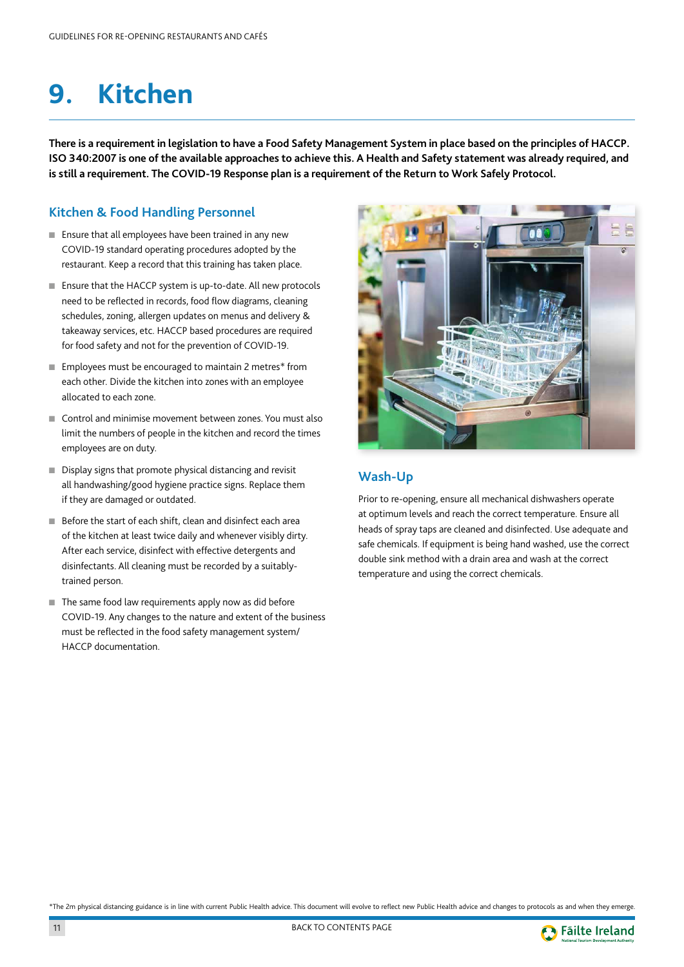## <span id="page-11-0"></span>**9. Kitchen**

**There is a requirement in legislation to have a Food Safety Management System in place based on the principles of HACCP. ISO 340:2007 is one of the available approaches to achieve this. A Health and Safety statement was already required, and is still a requirement. The COVID-19 Response plan is a requirement of the Return to Work Safely Protocol.**

## **Kitchen & Food Handling Personnel**

- Ensure that all employees have been trained in any new COVID-19 standard operating procedures adopted by the restaurant. Keep a record that this training has taken place.
- Ensure that the HACCP system is up-to-date. All new protocols need to be reflected in records, food flow diagrams, cleaning schedules, zoning, allergen updates on menus and delivery & takeaway services, etc. HACCP based procedures are required for food safety and not for the prevention of COVID-19.
- Employees must be encouraged to maintain 2 metres<sup>\*</sup> from each other. Divide the kitchen into zones with an employee allocated to each zone.
- Control and minimise movement between zones. You must also limit the numbers of people in the kitchen and record the times employees are on duty.
- Display signs that promote physical distancing and revisit all handwashing/good hygiene practice signs. Replace them if they are damaged or outdated.
- Before the start of each shift, clean and disinfect each area of the kitchen at least twice daily and whenever visibly dirty. After each service, disinfect with effective detergents and disinfectants. All cleaning must be recorded by a suitablytrained person.
- The same food law requirements apply now as did before COVID-19. Any changes to the nature and extent of the business must be reflected in the food safety management system/ HACCP documentation.



## **Wash-Up**

Prior to re-opening, ensure all mechanical dishwashers operate at optimum levels and reach the correct temperature. Ensure all heads of spray taps are cleaned and disinfected. Use adequate and safe chemicals. If equipment is being hand washed, use the correct double sink method with a drain area and wash at the correct temperature and using the correct chemicals.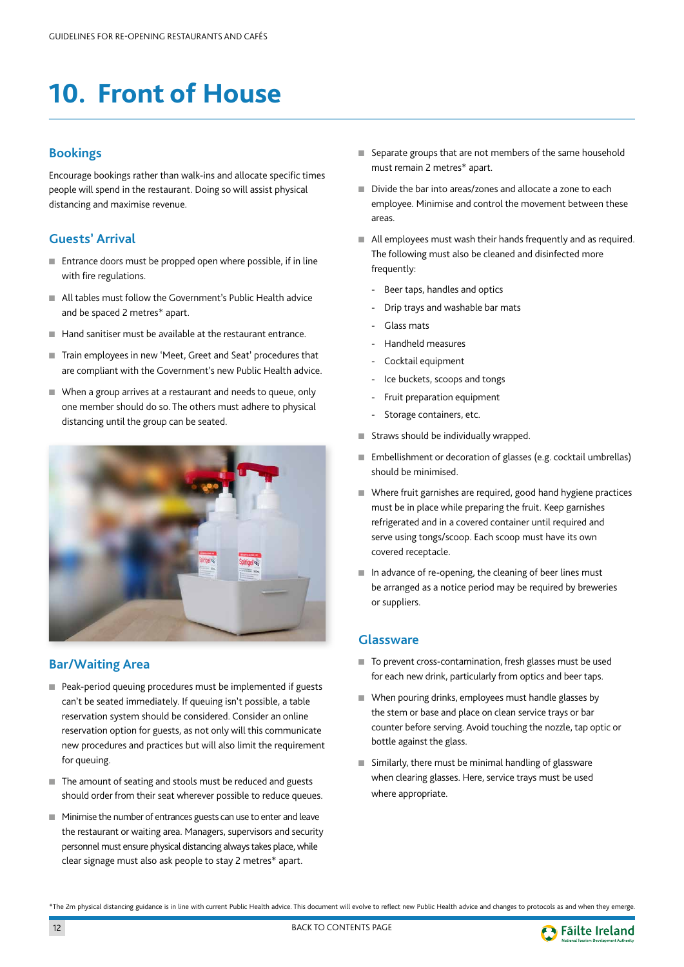## <span id="page-12-0"></span>**10. Front of House**

### **Bookings**

Encourage bookings rather than walk-ins and allocate specific times people will spend in the restaurant. Doing so will assist physical distancing and maximise revenue.

## **Guests' Arrival**

- Entrance doors must be propped open where possible, if in line with fire regulations.
- All tables must follow the Government's Public Health advice and be spaced 2 metres\* apart.
- Hand sanitiser must be available at the restaurant entrance.
- Train employees in new 'Meet, Greet and Seat' procedures that are compliant with the Government's new Public Health advice.
- When a group arrives at a restaurant and needs to queue, only one member should do so. The others must adhere to physical distancing until the group can be seated.



### **Bar/Waiting Area**

- Peak-period queuing procedures must be implemented if guests can't be seated immediately. If queuing isn't possible, a table reservation system should be considered. Consider an online reservation option for guests, as not only will this communicate new procedures and practices but will also limit the requirement for queuing.
- The amount of seating and stools must be reduced and guests should order from their seat wherever possible to reduce queues.
- Minimise the number of entrances guests can use to enter and leave the restaurant or waiting area. Managers, supervisors and security personnel must ensure physical distancing always takes place, while clear signage must also ask people to stay 2 metres\* apart.
- Separate groups that are not members of the same household must remain 2 metres\* apart.
- Divide the bar into areas/zones and allocate a zone to each employee. Minimise and control the movement between these areas.
- All employees must wash their hands frequently and as required. The following must also be cleaned and disinfected more frequently:
	- Beer taps, handles and optics
	- Drip trays and washable bar mats
	- Glass mats
	- Handheld measures
	- Cocktail equipment
	- Ice buckets, scoops and tongs
	- Fruit preparation equipment
	- Storage containers, etc.
- Straws should be individually wrapped.
- Embellishment or decoration of glasses (e.g. cocktail umbrellas) should be minimised.
- Where fruit garnishes are required, good hand hygiene practices must be in place while preparing the fruit. Keep garnishes refrigerated and in a covered container until required and serve using tongs/scoop. Each scoop must have its own covered receptacle.
- In advance of re-opening, the cleaning of beer lines must be arranged as a notice period may be required by breweries or suppliers.

#### **Glassware**

- To prevent cross-contamination, fresh glasses must be used for each new drink, particularly from optics and beer taps.
- When pouring drinks, employees must handle glasses by the stem or base and place on clean service trays or bar counter before serving. Avoid touching the nozzle, tap optic or bottle against the glass.
- Similarly, there must be minimal handling of glassware when clearing glasses. Here, service trays must be used where appropriate.

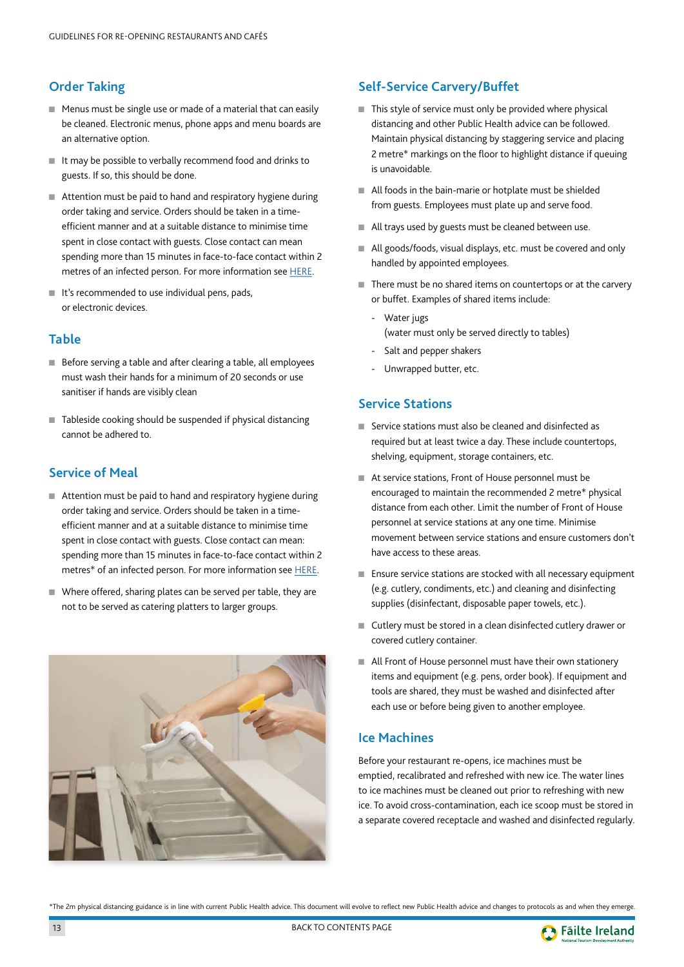## <span id="page-13-0"></span>**Order Taking**

- Menus must be single use or made of a material that can easily be cleaned. Electronic menus, phone apps and menu boards are an alternative option.
- It may be possible to verbally recommend food and drinks to guests. If so, this should be done.
- Attention must be paid to hand and respiratory hygiene during order taking and service. Orders should be taken in a timeefficient manner and at a suitable distance to minimise time spent in close contact with guests. Close contact can mean spending more than 15 minutes in face-to-face contact within 2 metres of an infected person. For more information see [HERE.](http://www.gov.ie/en/publication/472f64-covid-19-coronavirus-guidance-and-advice/)
- It's recommended to use individual pens, pads, or electronic devices.

## **Table**

- Before serving a table and after clearing a table, all employees must wash their hands for a minimum of 20 seconds or use sanitiser if hands are visibly clean
- Tableside cooking should be suspended if physical distancing cannot be adhered to.

## **Service of Meal**

- Attention must be paid to hand and respiratory hygiene during order taking and service. Orders should be taken in a timeefficient manner and at a suitable distance to minimise time spent in close contact with guests. Close contact can mean: spending more than 15 minutes in face-to-face contact within 2 metres\* of an infected person. For more information see [HERE.](https://www.gov.ie/en/publication/472f64-covid-19-coronavirus-guidance-and-advice/)
- Where offered, sharing plates can be served per table, they are not to be served as catering platters to larger groups.



## **Self-Service Carvery/Buffet**

- This style of service must only be provided where physical distancing and other Public Health advice can be followed. Maintain physical distancing by staggering service and placing 2 metre\* markings on the floor to highlight distance if queuing is unavoidable.
- All foods in the bain-marie or hotplate must be shielded from guests. Employees must plate up and serve food.
- All trays used by guests must be cleaned between use.
- All goods/foods, visual displays, etc. must be covered and only handled by appointed employees.
- There must be no shared items on countertops or at the carvery or buffet. Examples of shared items include:
	- Water jugs (water must only be served directly to tables)
	- Salt and pepper shakers
	- Unwrapped butter, etc.

#### **Service Stations**

- Service stations must also be cleaned and disinfected as required but at least twice a day. These include countertops, shelving, equipment, storage containers, etc.
- At service stations, Front of House personnel must be encouraged to maintain the recommended 2 metre\* physical distance from each other. Limit the number of Front of House personnel at service stations at any one time. Minimise movement between service stations and ensure customers don't have access to these areas.
- Ensure service stations are stocked with all necessary equipment (e.g. cutlery, condiments, etc.) and cleaning and disinfecting supplies (disinfectant, disposable paper towels, etc.).
- Cutlery must be stored in a clean disinfected cutlery drawer or covered cutlery container.
- All Front of House personnel must have their own stationery items and equipment (e.g. pens, order book). If equipment and tools are shared, they must be washed and disinfected after each use or before being given to another employee.

### **Ice Machines**

Before your restaurant re-opens, ice machines must be emptied, recalibrated and refreshed with new ice. The water lines to ice machines must be cleaned out prior to refreshing with new ice. To avoid cross-contamination, each ice scoop must be stored in a separate covered receptacle and washed and disinfected regularly.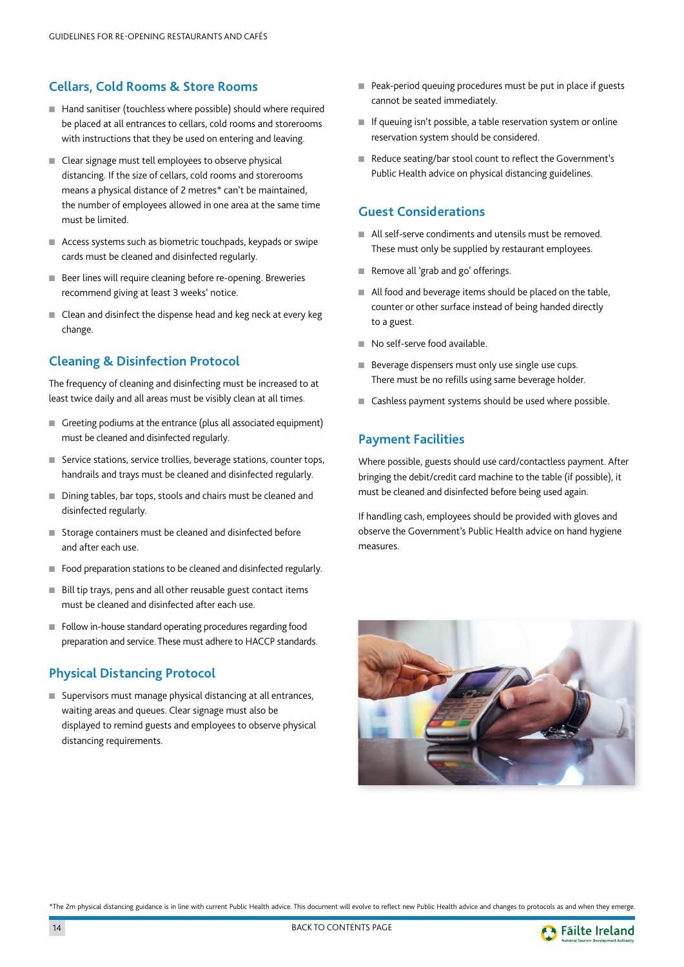## <span id="page-14-0"></span>**Cellars, Cold Rooms & Store Rooms**

- Hand sanitiser (touchless where possible) should where required be placed at all entrances to cellars, cold rooms and storerooms with instructions that they be used on entering and leaving.
- Clear signage must tell employees to observe physical distancing. If the size of cellars, cold rooms and storerooms means a physical distance of 2 metres\* can't be maintained, the number of employees allowed in one area at the same time must be limited.
- Access systems such as biometric touchpads, keypads or swipe cards must be cleaned and disinfected regularly.
- Beer lines will require cleaning before re-opening. Breweries recommend giving at least 3 weeks' notice.
- Clean and disinfect the dispense head and keg neck at every keg change.

## **Cleaning & Disinfection Protocol**

The frequency of cleaning and disinfecting must be increased to at least twice daily and all areas must be visibly clean at all times.

- Greeting podiums at the entrance (plus all associated equipment) must be cleaned and disinfected regularly.
- Service stations, service trollies, beverage stations, counter tops, handrails and trays must be cleaned and disinfected regularly.
- Dining tables, bar tops, stools and chairs must be cleaned and disinfected regularly.
- Storage containers must be cleaned and disinfected before and after each use.
- Food preparation stations to be cleaned and disinfected regularly.
- Bill tip trays, pens and all other reusable guest contact items must be cleaned and disinfected after each use.
- Follow in-house standard operating procedures regarding food preparation and service. These must adhere to HACCP standards.

## **Physical Distancing Protocol**

■ Supervisors must manage physical distancing at all entrances, waiting areas and queues. Clear signage must also be displayed to remind guests and employees to observe physical distancing requirements.

- Peak-period queuing procedures must be put in place if guests cannot be seated immediately.
- If queuing isn't possible, a table reservation system or online reservation system should be considered.
- Reduce seating/bar stool count to reflect the Government's Public Health advice on physical distancing guidelines.

## **Guest Considerations**

- All self-serve condiments and utensils must be removed. These must only be supplied by restaurant employees.
- Remove all 'grab and go' offerings.
- All food and beverage items should be placed on the table, counter or other surface instead of being handed directly to a guest.
- No self-serve food available.
- Beverage dispensers must only use single use cups. There must be no refills using same beverage holder.
- Cashless payment systems should be used where possible.

## **Payment Facilities**

Where possible, guests should use card/contactless payment. After bringing the debit/credit card machine to the table (if possible), it must be cleaned and disinfected before being used again.

If handling cash, employees should be provided with gloves and observe the Government's Public Health advice on hand hygiene measures.



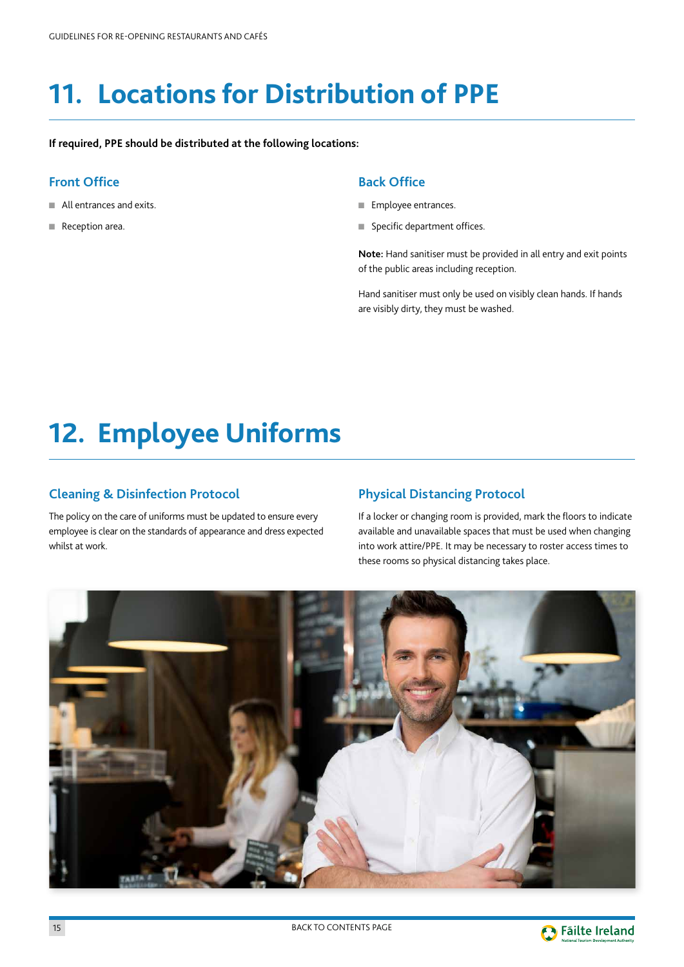## <span id="page-15-0"></span>**11. Locations for Distribution of PPE**

**If required, PPE should be distributed at the following locations:**

## **Front Office**

- All entrances and exits.
- Reception area.

#### **Back Office**

- Employee entrances.
- Specific department offices.

**Note:** Hand sanitiser must be provided in all entry and exit points of the public areas including reception.

Hand sanitiser must only be used on visibly clean hands. If hands are visibly dirty, they must be washed.

## **12. Employee Uniforms**

### **Cleaning & Disinfection Protocol**

The policy on the care of uniforms must be updated to ensure every employee is clear on the standards of appearance and dress expected whilst at work.

### **Physical Distancing Protocol**

If a locker or changing room is provided, mark the floors to indicate available and unavailable spaces that must be used when changing into work attire/PPE. It may be necessary to roster access times to these rooms so physical distancing takes place.



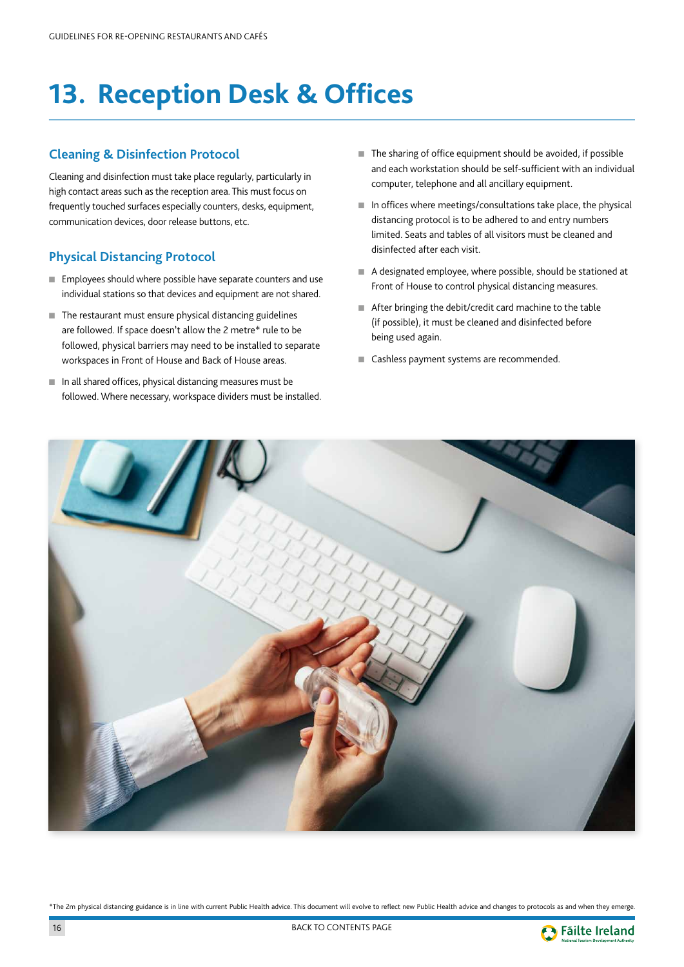## <span id="page-16-0"></span>**13. Reception Desk & Offices**

## **Cleaning & Disinfection Protocol**

Cleaning and disinfection must take place regularly, particularly in high contact areas such as the reception area. This must focus on frequently touched surfaces especially counters, desks, equipment, communication devices, door release buttons, etc.

## **Physical Distancing Protocol**

- Employees should where possible have separate counters and use individual stations so that devices and equipment are not shared.
- The restaurant must ensure physical distancing guidelines are followed. If space doesn't allow the 2 metre\* rule to be followed, physical barriers may need to be installed to separate workspaces in Front of House and Back of House areas.
- In all shared offices, physical distancing measures must be followed. Where necessary, workspace dividers must be installed.
- The sharing of office equipment should be avoided, if possible and each workstation should be self-sufficient with an individual computer, telephone and all ancillary equipment.
- In offices where meetings/consultations take place, the physical distancing protocol is to be adhered to and entry numbers limited. Seats and tables of all visitors must be cleaned and disinfected after each visit.
- A designated employee, where possible, should be stationed at Front of House to control physical distancing measures.
- After bringing the debit/credit card machine to the table (if possible), it must be cleaned and disinfected before being used again.
- Cashless payment systems are recommended.



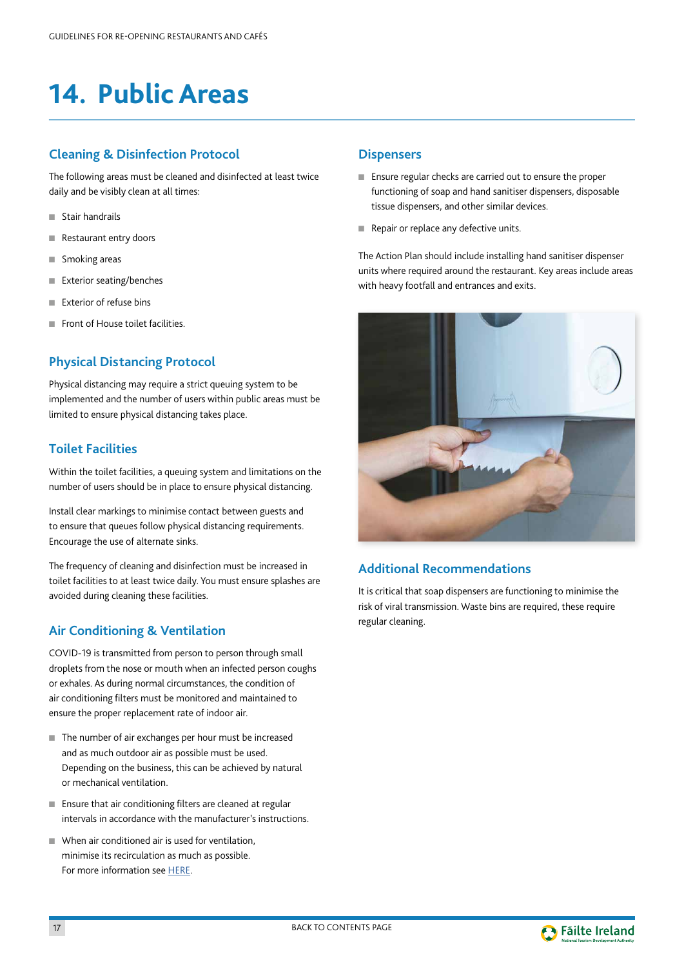## <span id="page-17-0"></span>**14. Public Areas**

## **Cleaning & Disinfection Protocol**

The following areas must be cleaned and disinfected at least twice daily and be visibly clean at all times:

- Stair handrails
- Restaurant entry doors
- Smoking areas
- Exterior seating/benches
- Exterior of refuse bins
- Front of House toilet facilities

## **Physical Distancing Protocol**

Physical distancing may require a strict queuing system to be implemented and the number of users within public areas must be limited to ensure physical distancing takes place.

## **Toilet Facilities**

Within the toilet facilities, a queuing system and limitations on the number of users should be in place to ensure physical distancing.

Install clear markings to minimise contact between guests and to ensure that queues follow physical distancing requirements. Encourage the use of alternate sinks.

The frequency of cleaning and disinfection must be increased in toilet facilities to at least twice daily. You must ensure splashes are avoided during cleaning these facilities.

## **Air Conditioning & Ventilation**

COVID-19 is transmitted from person to person through small droplets from the nose or mouth when an infected person coughs or exhales. As during normal circumstances, the condition of air conditioning filters must be monitored and maintained to ensure the proper replacement rate of indoor air.

- The number of air exchanges per hour must be increased and as much outdoor air as possible must be used. Depending on the business, this can be achieved by natural or mechanical ventilation.
- Ensure that air conditioning filters are cleaned at regular intervals in accordance with the manufacturer's instructions.
- When air conditioned air is used for ventilation, minimise its recirculation as much as possible. For more information see [HERE.](http://www.hsa.ie/eng/topics/biological_agents/specific_biological_agents_infections/legionellosis/covid-19_legionella_information_note.pdf)

#### **Dispensers**

- Ensure regular checks are carried out to ensure the proper functioning of soap and hand sanitiser dispensers, disposable tissue dispensers, and other similar devices.
- Repair or replace any defective units.

The Action Plan should include installing hand sanitiser dispenser units where required around the restaurant. Key areas include areas with heavy footfall and entrances and exits.



## **Additional Recommendations**

It is critical that soap dispensers are functioning to minimise the risk of viral transmission. Waste bins are required, these require regular cleaning.